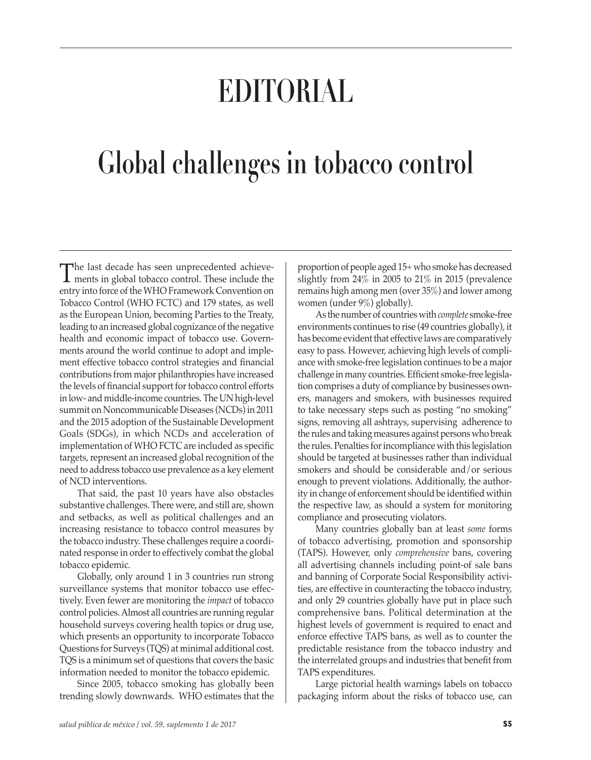# **EDITORIAL**

## **Global challenges in tobacco control**

The last decade has seen unprecedented achieve-<br>ments in global tobacco control. These include the<br>extensive faces of the WLO Francescal Gaussation entry into force of the WHO Framework Convention on Tobacco Control (WHO FCTC) and 179 states, as well as the European Union, becoming Parties to the Treaty, leading to an increased global cognizance of the negative health and economic impact of tobacco use. Governments around the world continue to adopt and implement effective tobacco control strategies and financial contributions from major philanthropies have increased the levels of financial support for tobacco control efforts in low- and middle-income countries. The UN high-level summit on Noncommunicable Diseases (NCDs) in 2011 and the 2015 adoption of the Sustainable Development Goals (SDGs), in which NCDs and acceleration of implementation of WHO FCTC are included as specific targets, represent an increased global recognition of the need to address tobacco use prevalence as a key element of NCD interventions.

That said, the past 10 years have also obstacles substantive challenges. There were, and still are, shown and setbacks, as well as political challenges and an increasing resistance to tobacco control measures by the tobacco industry. These challenges require a coordinated response in order to effectively combat the global tobacco epidemic.

Globally, only around 1 in 3 countries run strong surveillance systems that monitor tobacco use effectively. Even fewer are monitoring the *impact* of tobacco control policies. Almost all countries are running regular household surveys covering health topics or drug use, which presents an opportunity to incorporate Tobacco Questions for Surveys (TQS) at minimal additional cost. TQS is a minimum set of questions that covers the basic information needed to monitor the tobacco epidemic.

Since 2005, tobacco smoking has globally been trending slowly downwards. WHO estimates that the

proportion of people aged 15+ who smoke has decreased slightly from 24% in 2005 to 21% in 2015 (prevalence remains high among men (over 35%) and lower among women (under 9%) globally).

As the number of countries with *complete* smoke-free environments continues to rise (49 countries globally), it has become evident that effective laws are comparatively easy to pass. However, achieving high levels of compliance with smoke-free legislation continues to be a major challenge in many countries. Efficient smoke-free legislation comprises a duty of compliance by businesses owners, managers and smokers, with businesses required to take necessary steps such as posting "no smoking" signs, removing all ashtrays, supervising adherence to the rules and taking measures against persons who break the rules. Penalties for incompliance with this legislation should be targeted at businesses rather than individual smokers and should be considerable and/or serious enough to prevent violations. Additionally, the authority in change of enforcement should be identified within the respective law, as should a system for monitoring compliance and prosecuting violators.

Many countries globally ban at least *some* forms of tobacco advertising, promotion and sponsorship (TAPS). However, only *comprehensive* bans, covering all advertising channels including point-of sale bans and banning of Corporate Social Responsibility activities, are effective in counteracting the tobacco industry, and only 29 countries globally have put in place such comprehensive bans. Political determination at the highest levels of government is required to enact and enforce effective TAPS bans, as well as to counter the predictable resistance from the tobacco industry and the interrelated groups and industries that benefit from TAPS expenditures.

Large pictorial health warnings labels on tobacco packaging inform about the risks of tobacco use, can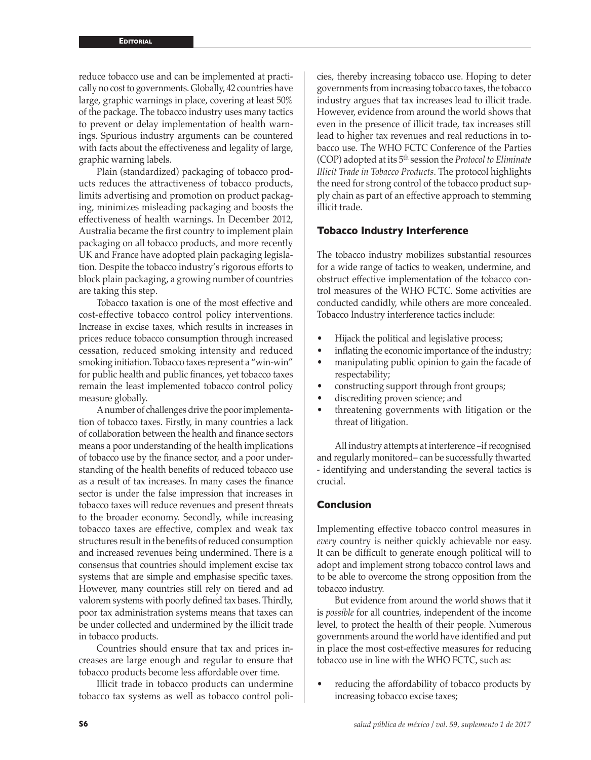reduce tobacco use and can be implemented at practically no cost to governments. Globally, 42 countries have large, graphic warnings in place, covering at least 50% of the package. The tobacco industry uses many tactics to prevent or delay implementation of health warnings. Spurious industry arguments can be countered with facts about the effectiveness and legality of large, graphic warning labels.

Plain (standardized) packaging of tobacco products reduces the attractiveness of tobacco products, limits advertising and promotion on product packaging, minimizes misleading packaging and boosts the effectiveness of health warnings. In December 2012, Australia became the first country to implement plain packaging on all tobacco products, and more recently UK and France have adopted plain packaging legislation. Despite the tobacco industry's rigorous efforts to block plain packaging, a growing number of countries are taking this step.

Tobacco taxation is one of the most effective and cost-effective tobacco control policy interventions. Increase in excise taxes, which results in increases in prices reduce tobacco consumption through increased cessation, reduced smoking intensity and reduced smoking initiation. Tobacco taxes represent a "win-win" for public health and public finances, yet tobacco taxes remain the least implemented tobacco control policy measure globally.

A number of challenges drive the poor implementation of tobacco taxes. Firstly, in many countries a lack of collaboration between the health and finance sectors means a poor understanding of the health implications of tobacco use by the finance sector, and a poor understanding of the health benefits of reduced tobacco use as a result of tax increases. In many cases the finance sector is under the false impression that increases in tobacco taxes will reduce revenues and present threats to the broader economy. Secondly, while increasing tobacco taxes are effective, complex and weak tax structures result in the benefits of reduced consumption and increased revenues being undermined. There is a consensus that countries should implement excise tax systems that are simple and emphasise specific taxes. However, many countries still rely on tiered and ad valorem systems with poorly defined tax bases. Thirdly, poor tax administration systems means that taxes can be under collected and undermined by the illicit trade in tobacco products.

Countries should ensure that tax and prices increases are large enough and regular to ensure that tobacco products become less affordable over time.

Illicit trade in tobacco products can undermine tobacco tax systems as well as tobacco control poli-

cies, thereby increasing tobacco use. Hoping to deter governments from increasing tobacco taxes, the tobacco industry argues that tax increases lead to illicit trade. However, evidence from around the world shows that even in the presence of illicit trade, tax increases still lead to higher tax revenues and real reductions in tobacco use. The WHO FCTC Conference of the Parties (COP) adopted at its 5th session the *Protocol to Eliminate Illicit Trade in Tobacco Products*. The protocol highlights the need for strong control of the tobacco product supply chain as part of an effective approach to stemming illicit trade.

#### **Tobacco Industry Interference**

The tobacco industry mobilizes substantial resources for a wide range of tactics to weaken, undermine, and obstruct effective implementation of the tobacco control measures of the WHO FCTC. Some activities are conducted candidly, while others are more concealed. Tobacco Industry interference tactics include:

- Hijack the political and legislative process;
- inflating the economic importance of the industry;
- manipulating public opinion to gain the facade of respectability;
- constructing support through front groups;
- discrediting proven science; and
- threatening governments with litigation or the threat of litigation.

All industry attempts at interference –if recognised and regularly monitored– can be successfully thwarted - identifying and understanding the several tactics is crucial.

### **Conclusion**

Implementing effective tobacco control measures in *every* country is neither quickly achievable nor easy. It can be difficult to generate enough political will to adopt and implement strong tobacco control laws and to be able to overcome the strong opposition from the tobacco industry.

But evidence from around the world shows that it is *possible* for all countries, independent of the income level, to protect the health of their people. Numerous governments around the world have identified and put in place the most cost-effective measures for reducing tobacco use in line with the WHO FCTC, such as:

reducing the affordability of tobacco products by increasing tobacco excise taxes;